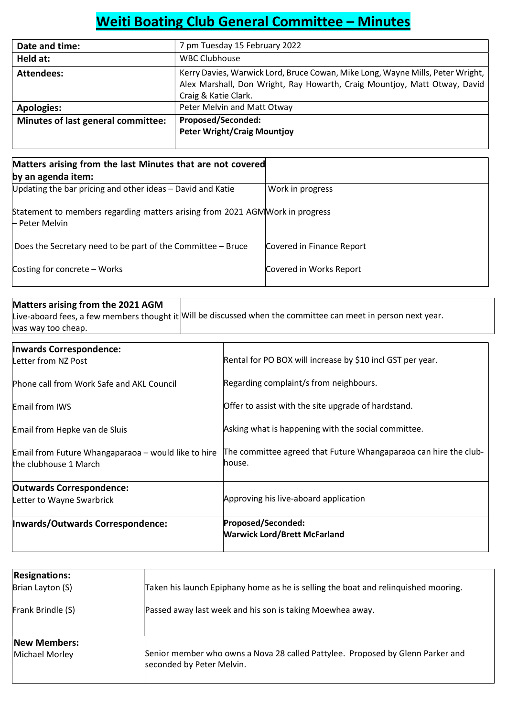# Weiti Boating Club General Committee – Minutes

| Date and time:                     | 7 pm Tuesday 15 February 2022                                                  |
|------------------------------------|--------------------------------------------------------------------------------|
| Held at:                           | <b>WBC Clubhouse</b>                                                           |
| Attendees:                         | Kerry Davies, Warwick Lord, Bruce Cowan, Mike Long, Wayne Mills, Peter Wright, |
|                                    | Alex Marshall, Don Wright, Ray Howarth, Craig Mountjoy, Matt Otway, David      |
|                                    | Craig & Katie Clark.                                                           |
| <b>Apologies:</b>                  | Peter Melvin and Matt Otway                                                    |
| Minutes of last general committee: | <b>Proposed/Seconded:</b>                                                      |
|                                    | <b>Peter Wright/Craig Mountjoy</b>                                             |
|                                    |                                                                                |

| Matters arising from the last Minutes that are not covered                                      |                           |  |  |  |  |
|-------------------------------------------------------------------------------------------------|---------------------------|--|--|--|--|
| by an agenda item:                                                                              |                           |  |  |  |  |
| Updating the bar pricing and other ideas - David and Katie                                      | Work in progress          |  |  |  |  |
| Statement to members regarding matters arising from 2021 AGM Work in progress<br>- Peter Melvin |                           |  |  |  |  |
| Does the Secretary need to be part of the Committee - Bruce                                     | Covered in Finance Report |  |  |  |  |
| Costing for concrete - Works                                                                    | Covered in Works Report   |  |  |  |  |

## Matters arising from the 2021 AGM Live-aboard fees, a few members thought it Will be discussed when the committee can meet in person next year. was way too cheap.

| Inwards Correspondence:<br>Letter from NZ Post                               | Rental for PO BOX will increase by \$10 incl GST per year.                 |  |  |
|------------------------------------------------------------------------------|----------------------------------------------------------------------------|--|--|
| Phone call from Work Safe and AKL Council                                    | Regarding complaint/s from neighbours.                                     |  |  |
| Email from IWS                                                               | Offer to assist with the site upgrade of hardstand.                        |  |  |
| Email from Hepke van de Sluis                                                | Asking what is happening with the social committee.                        |  |  |
| Email from Future Whangaparaoa – would like to hire<br>the clubhouse 1 March | The committee agreed that Future Whangaparaoa can hire the club-<br>house. |  |  |
| <b>Outwards Correspondence:</b><br>Letter to Wayne Swarbrick                 | Approving his live-aboard application                                      |  |  |
| Inwards/Outwards Correspondence:                                             | Proposed/Seconded:<br><b>Warwick Lord/Brett McFarland</b>                  |  |  |

| <b>Resignations:</b><br>Brian Layton (S)<br>Frank Brindle (S) | Taken his launch Epiphany home as he is selling the boat and relinguished mooring.<br>Passed away last week and his son is taking Moewhea away. |
|---------------------------------------------------------------|-------------------------------------------------------------------------------------------------------------------------------------------------|
| <b>New Members:</b>                                           | Senior member who owns a Nova 28 called Pattylee. Proposed by Glenn Parker and                                                                  |
| Michael Morley                                                | seconded by Peter Melvin.                                                                                                                       |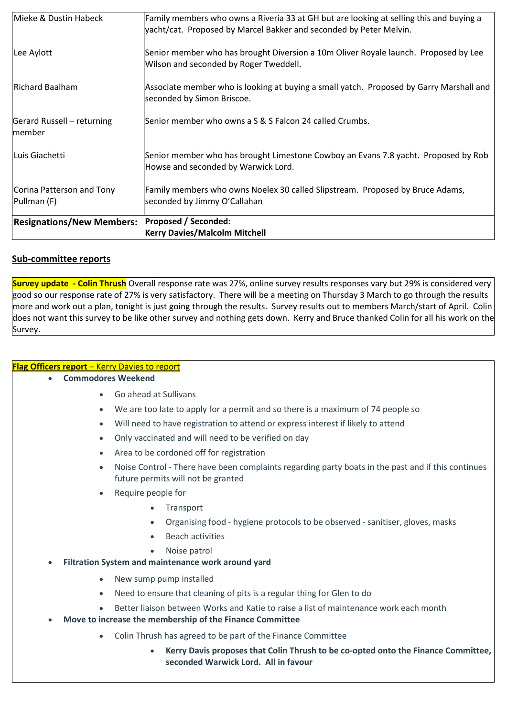|                                          | <b>Kerry Davies/Malcolm Mitchell</b>                                                                                                                          |
|------------------------------------------|---------------------------------------------------------------------------------------------------------------------------------------------------------------|
| <b>Resignations/New Members:</b>         | <b>Proposed / Seconded:</b>                                                                                                                                   |
| Corina Patterson and Tony<br>Pullman (F) | Family members who owns Noelex 30 called Slipstream. Proposed by Bruce Adams,<br>seconded by Jimmy O'Callahan                                                 |
| Luis Giachetti                           | Senior member who has brought Limestone Cowboy an Evans 7.8 yacht. Proposed by Rob<br>Howse and seconded by Warwick Lord.                                     |
| Gerard Russell – returning<br>member     | Senior member who owns a S & S Falcon 24 called Crumbs.                                                                                                       |
| Richard Baalham                          | Associate member who is looking at buying a small yatch. Proposed by Garry Marshall and<br>seconded by Simon Briscoe.                                         |
| Lee Aylott                               | Senior member who has brought Diversion a 10m Oliver Royale launch. Proposed by Lee<br>Wilson and seconded by Roger Tweddell.                                 |
| Mieke & Dustin Habeck                    | Family members who owns a Riveria 33 at GH but are looking at selling this and buying a<br>yacht/cat. Proposed by Marcel Bakker and seconded by Peter Melvin. |

# Sub-committee reports

Survey update - Colin Thrush Overall response rate was 27%, online survey results responses vary but 29% is considered very good so our response rate of 27% is very satisfactory. There will be a meeting on Thursday 3 March to go through the results more and work out a plan, tonight is just going through the results. Survey results out to members March/start of April. Colin does not want this survey to be like other survey and nothing gets down. Kerry and Bruce thanked Colin for all his work on the Survey.

## Flag Officers report – Kerry Davies to report

- Commodores Weekend
	- Go ahead at Sullivans
	- We are too late to apply for a permit and so there is a maximum of 74 people so
	- Will need to have registration to attend or express interest if likely to attend
	- Only vaccinated and will need to be verified on day
	- Area to be cordoned off for registration
	- Noise Control There have been complaints regarding party boats in the past and if this continues future permits will not be granted
	- Require people for
		- Transport
		- Organising food hygiene protocols to be observed sanitiser, gloves, masks
		- Beach activities
		- Noise patrol
- Filtration System and maintenance work around yard
	- New sump pump installed
	- Need to ensure that cleaning of pits is a regular thing for Glen to do
	- Better liaison between Works and Katie to raise a list of maintenance work each month
- Move to increase the membership of the Finance Committee
	- Colin Thrush has agreed to be part of the Finance Committee
		- Kerry Davis proposes that Colin Thrush to be co-opted onto the Finance Committee, seconded Warwick Lord. All in favour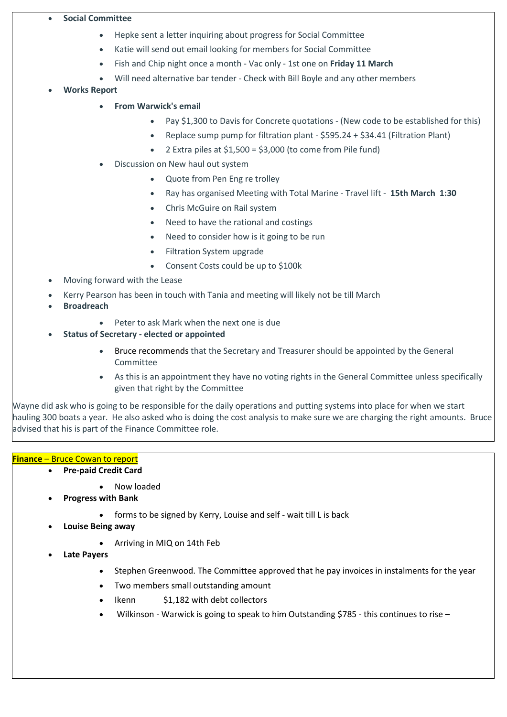#### Social Committee

- Hepke sent a letter inquiring about progress for Social Committee
- Katie will send out email looking for members for Social Committee
- Fish and Chip night once a month Vac only 1st one on Friday 11 March
- Will need alternative bar tender Check with Bill Boyle and any other members
- Works Report
	- From Warwick's email
		- Pay \$1,300 to Davis for Concrete quotations (New code to be established for this)
		- Replace sump pump for filtration plant \$595.24 + \$34.41 (Filtration Plant)
		- $\bullet$  2 Extra piles at \$1,500 = \$3,000 (to come from Pile fund)
	- Discussion on New haul out system
		- Quote from Pen Eng re trolley
		- Ray has organised Meeting with Total Marine Travel lift 15th March 1:30
		- Chris McGuire on Rail system
		- Need to have the rational and costings
		- Need to consider how is it going to be run
		- Filtration System upgrade
		- Consent Costs could be up to \$100k
- Moving forward with the Lease
- Kerry Pearson has been in touch with Tania and meeting will likely not be till March
- Broadreach
	- Peter to ask Mark when the next one is due
- Status of Secretary elected or appointed
	- Bruce recommends that the Secretary and Treasurer should be appointed by the General **Committee**
	- As this is an appointment they have no voting rights in the General Committee unless specifically given that right by the Committee

Wayne did ask who is going to be responsible for the daily operations and putting systems into place for when we start hauling 300 boats a year. He also asked who is doing the cost analysis to make sure we are charging the right amounts. Bruce advised that his is part of the Finance Committee role.

## <u> **Finance** – Bruce Cowan to report</u>

- Pre-paid Credit Card
	- Now loaded
- Progress with Bank
	- forms to be signed by Kerry, Louise and self wait till L is back
- Louise Being away
	- Arriving in MIQ on 14th Feb
- Late Payers
	- Stephen Greenwood. The Committee approved that he pay invoices in instalments for the year
	- Two members small outstanding amount
	- Ikenn \$1,182 with debt collectors
	- Wilkinson Warwick is going to speak to him Outstanding \$785 this continues to rise -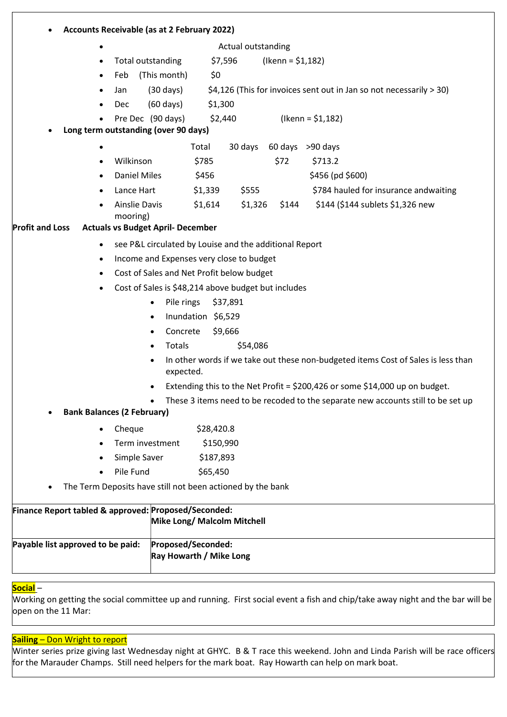| Accounts Receivable (as at 2 February 2022)                |                                                        |                         |                                                                                   |  |
|------------------------------------------------------------|--------------------------------------------------------|-------------------------|-----------------------------------------------------------------------------------|--|
| ٠                                                          |                                                        | Actual outstanding      |                                                                                   |  |
| $\bullet$                                                  | \$7,596<br>Total outstanding                           | $($ lkenn = \$1,182 $)$ |                                                                                   |  |
| Feb<br>$\bullet$                                           | (This month)<br>\$0                                    |                         |                                                                                   |  |
| Jan                                                        | $(30 \text{ days})$                                    |                         | \$4,126 (This for invoices sent out in Jan so not necessarily > 30)               |  |
| <b>Dec</b>                                                 | \$1,300<br>$(60 \text{ days})$                         |                         |                                                                                   |  |
|                                                            | Pre Dec (90 days)<br>\$2,440                           |                         | $($ lkenn = \$1,182)                                                              |  |
| Long term outstanding (over 90 days)                       |                                                        |                         |                                                                                   |  |
| ٠                                                          | Total                                                  | 30 days                 | 60 days >90 days                                                                  |  |
| Wilkinson<br>$\bullet$                                     | \$785                                                  | \$72                    | \$713.2                                                                           |  |
| <b>Daniel Miles</b>                                        | \$456                                                  |                         | \$456 (pd \$600)                                                                  |  |
| Lance Hart<br>$\bullet$                                    | \$1,339                                                | \$555                   | \$784 hauled for insurance andwaiting                                             |  |
| <b>Ainslie Davis</b><br>mooring)                           | \$1,614                                                | \$1,326<br>\$144        | \$144 (\$144 sublets \$1,326 new                                                  |  |
| <b>Profit and Loss</b>                                     | <b>Actuals vs Budget April- December</b>               |                         |                                                                                   |  |
| $\bullet$                                                  | see P&L circulated by Louise and the additional Report |                         |                                                                                   |  |
| $\bullet$                                                  | Income and Expenses very close to budget               |                         |                                                                                   |  |
| $\bullet$                                                  | Cost of Sales and Net Profit below budget              |                         |                                                                                   |  |
|                                                            | Cost of Sales is \$48,214 above budget but includes    |                         |                                                                                   |  |
|                                                            | Pile rings<br>\$37,891<br>$\bullet$                    |                         |                                                                                   |  |
|                                                            | Inundation \$6,529<br>$\bullet$                        |                         |                                                                                   |  |
|                                                            | Concrete<br>\$9,666<br>$\bullet$                       |                         |                                                                                   |  |
|                                                            | Totals<br>$\bullet$                                    | \$54,086                |                                                                                   |  |
|                                                            | expected.                                              |                         | In other words if we take out these non-budgeted items Cost of Sales is less than |  |
|                                                            |                                                        |                         | Extending this to the Net Profit = $$200,426$ or some $$14,000$ up on budget.     |  |
|                                                            | $\bullet$                                              |                         | These 3 items need to be recoded to the separate new accounts still to be set up  |  |
| <b>Bank Balances (2 February)</b>                          |                                                        |                         |                                                                                   |  |
| Cheque                                                     | \$28,420.8                                             |                         |                                                                                   |  |
|                                                            | Term investment<br>\$150,990                           |                         |                                                                                   |  |
| Simple Saver                                               | \$187,893                                              |                         |                                                                                   |  |
| Pile Fund                                                  | \$65,450                                               |                         |                                                                                   |  |
| The Term Deposits have still not been actioned by the bank |                                                        |                         |                                                                                   |  |
| Finance Report tabled & approved: Proposed/Seconded:       |                                                        |                         |                                                                                   |  |
|                                                            | Mike Long/ Malcolm Mitchell                            |                         |                                                                                   |  |
| Payable list approved to be paid:                          | Proposed/Seconded:<br>Ray Howarth / Mike Long          |                         |                                                                                   |  |

#### Social –

Working on getting the social committee up and running. First social event a fish and chip/take away night and the bar will be open on the 11 Mar:

# Sailing – Don Wright to report

Winter series prize giving last Wednesday night at GHYC. B & T race this weekend. John and Linda Parish will be race officers for the Marauder Champs. Still need helpers for the mark boat. Ray Howarth can help on mark boat.